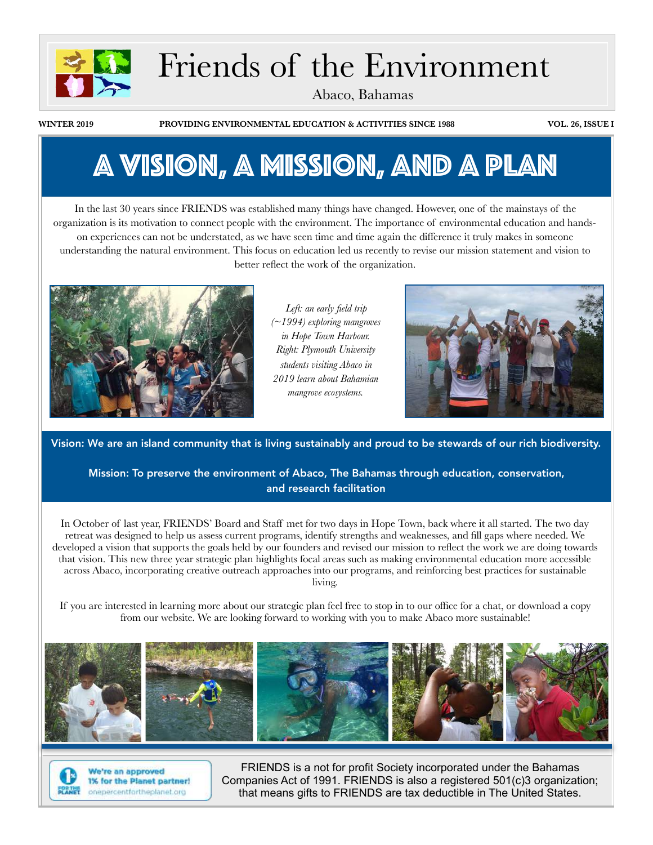

# Friends of the Environment

Abaco, Bahamas

**WINTER 2019 PROVIDING ENVIRONMENTAL EDUCATION & ACTIVITIES SINCE 1988 VOL. 26, ISSUE I**

# A vision, A Mission, and a Plan

In the last 30 years since FRIENDS was established many things have changed. However, one of the mainstays of the organization is its motivation to connect people with the environment. The importance of environmental education and handson experiences can not be understated, as we have seen time and time again the difference it truly makes in someone understanding the natural environment. This focus on education led us recently to revise our mission statement and vision to better reflect the work of the organization.



*Left: an early field trip (~1994) exploring mangroves in Hope Town Harbour. Right: Plymouth University students visiting Abaco in 2019 learn about Bahamian mangrove ecosystems.*



Vision: We are an island community that is living sustainably and proud to be stewards of our rich biodiversity.

Mission: To preserve the environment of Abaco, The Bahamas through education, conservation, and research facilitation

In October of last year, FRIENDS' Board and Staff met for two days in Hope Town, back where it all started. The two day retreat was designed to help us assess current programs, identify strengths and weaknesses, and fill gaps where needed. We developed a vision that supports the goals held by our founders and revised our mission to reflect the work we are doing towards that vision. This new three year strategic plan highlights focal areas such as making environmental education more accessible across Abaco, incorporating creative outreach approaches into our programs, and reinforcing best practices for sustainable living.

If you are interested in learning more about our strategic plan feel free to stop in to our office for a chat, or download a copy from our website. We are looking forward to working with you to make Abaco more sustainable!





We're an approved 1% for the Planet partner! onepercentfortheplanet.org

FRIENDS is a not for profit Society incorporated under the Bahamas Companies Act of 1991. FRIENDS is also a registered 501(c)3 organization; that means gifts to FRIENDS are tax deductible in The United States.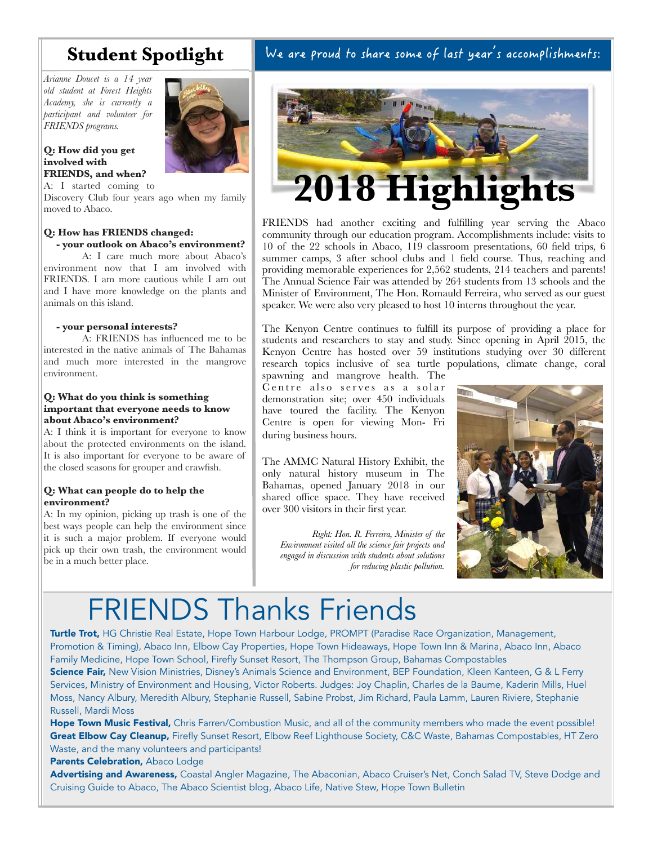# **Student Spotlight**

*Arianne Doucet is a 14 year old student at Forest Heights Academy, she is currently a participant and volunteer for FRIENDS programs.* 

#### **Q: How did you get involved with FRIENDS, and when?**



A: I started coming to

Discovery Club four years ago when my family moved to Abaco.

### **Q: How has FRIENDS changed: - your outlook on Abaco's environment?**

A: I care much more about Abaco's environment now that I am involved with FRIENDS. I am more cautious while I am out and I have more knowledge on the plants and animals on this island.

### **- your personal interests?**

A: FRIENDS has influenced me to be interested in the native animals of The Bahamas and much more interested in the mangrove environment.

#### **Q: What do you think is something important that everyone needs to know about Abaco's environment?**

A: I think it is important for everyone to know about the protected environments on the island. It is also important for everyone to be aware of the closed seasons for grouper and crawfish.

## **Q: What can people do to help the environment?**

A: In my opinion, picking up trash is one of the best ways people can help the environment since it is such a major problem. If everyone would pick up their own trash, the environment would be in a much better place.

## We are proud to share some of last year's accomplishments:



FRIENDS had another exciting and fulfilling year serving the Abaco community through our education program. Accomplishments include: visits to 10 of the 22 schools in Abaco, 119 classroom presentations, 60 field trips, 6 summer camps, 3 after school clubs and 1 field course. Thus, reaching and providing memorable experiences for 2,562 students, 214 teachers and parents! The Annual Science Fair was attended by 264 students from 13 schools and the Minister of Environment, The Hon. Romauld Ferreira, who served as our guest speaker. We were also very pleased to host 10 interns throughout the year.

The Kenyon Centre continues to fulfill its purpose of providing a place for students and researchers to stay and study. Since opening in April 2015, the Kenyon Centre has hosted over 59 institutions studying over 30 different research topics inclusive of sea turtle populations, climate change, coral

spawning and mangrove health. The Centre also serves as a solar demonstration site; over 450 individuals have toured the facility. The Kenyon Centre is open for viewing Mon- Fri during business hours.

The AMMC Natural History Exhibit, the only natural history museum in The Bahamas, opened January 2018 in our shared office space. They have received over 300 visitors in their first year.

*Right: Hon. R. Ferreira, Minister of the Environment visited all the science fair projects and engaged in discussion with students about solutions for reducing plastic pollution.*



# FRIENDS Thanks Friends

Turtle Trot, HG Christie Real Estate, Hope Town Harbour Lodge, PROMPT (Paradise Race Organization, Management, Promotion & Timing), Abaco Inn, Elbow Cay Properties, Hope Town Hideaways, Hope Town Inn & Marina, Abaco Inn, Abaco Family Medicine, Hope Town School, Firefly Sunset Resort, The Thompson Group, Bahamas Compostables

Science Fair, New Vision Ministries, Disney's Animals Science and Environment, BEP Foundation, Kleen Kanteen, G & L Ferry Services, Ministry of Environment and Housing, Victor Roberts. Judges: Joy Chaplin, Charles de la Baume, Kaderin Mills, Huel Moss, Nancy Albury, Meredith Albury, Stephanie Russell, Sabine Probst, Jim Richard, Paula Lamm, Lauren Riviere, Stephanie Russell, Mardi Moss

Hope Town Music Festival, Chris Farren/Combustion Music, and all of the community members who made the event possible! Great Elbow Cay Cleanup, Firefly Sunset Resort, Elbow Reef Lighthouse Society, C&C Waste, Bahamas Compostables, HT Zero Waste, and the many volunteers and participants!

#### Parents Celebration, Abaco Lodge

Advertising and Awareness, Coastal Angler Magazine, The Abaconian, Abaco Cruiser's Net, Conch Salad TV, Steve Dodge and Cruising Guide to Abaco, The Abaco Scientist blog, Abaco Life, Native Stew, Hope Town Bulletin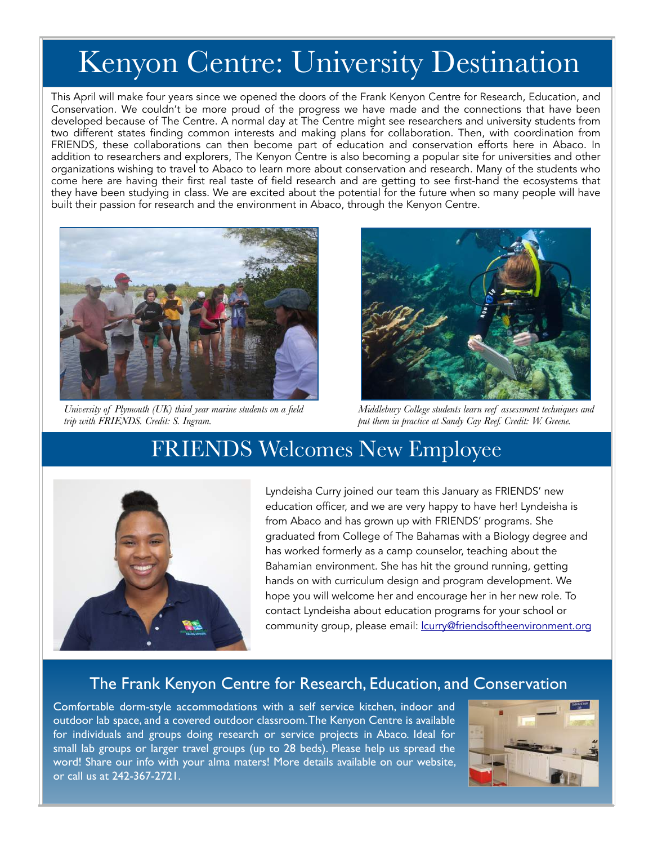# Kenyon Centre: University Destination

This April will make four years since we opened the doors of the Frank Kenyon Centre for Research, Education, and Conservation. We couldn't be more proud of the progress we have made and the connections that have been developed because of The Centre. A normal day at The Centre might see researchers and university students from two different states finding common interests and making plans for collaboration. Then, with coordination from FRIENDS, these collaborations can then become part of education and conservation efforts here in Abaco. In addition to researchers and explorers, The Kenyon Centre is also becoming a popular site for universities and other organizations wishing to travel to Abaco to learn more about conservation and research. Many of the students who come here are having their first real taste of field research and are getting to see first-hand the ecosystems that they have been studying in class. We are excited about the potential for the future when so many people will have built their passion for research and the environment in Abaco, through the Kenyon Centre.



*University of Plymouth (UK) third year marine students on a field trip with FRIENDS. Credit: S. Ingram.*



*Middlebury College students learn reef assessment techniques and put them in practice at Sandy Cay Reef. Credit: W. Greene.*

# FRIENDS Welcomes New Employee



Lyndeisha Curry joined our team this January as FRIENDS' new education officer, and we are very happy to have her! Lyndeisha is from Abaco and has grown up with FRIENDS' programs. She graduated from College of The Bahamas with a Biology degree and has worked formerly as a camp counselor, teaching about the Bahamian environment. She has hit the ground running, getting hands on with curriculum design and program development. We hope you will welcome her and encourage her in her new role. To contact Lyndeisha about education programs for your school or community group, please email: **lcurry@friendsoftheenvironment.org** 

## The Frank Kenyon Centre for Research, Education, and Conservation

Comfortable dorm-style accommodations with a self service kitchen, indoor and outdoor lab space, and a covered outdoor classroom. The Kenyon Centre is available for individuals and groups doing research or service projects in Abaco. Ideal for small lab groups or larger travel groups (up to 28 beds). Please help us spread the word! Share our info with your alma maters! More details available on our website, or call us at 242-367-2721.